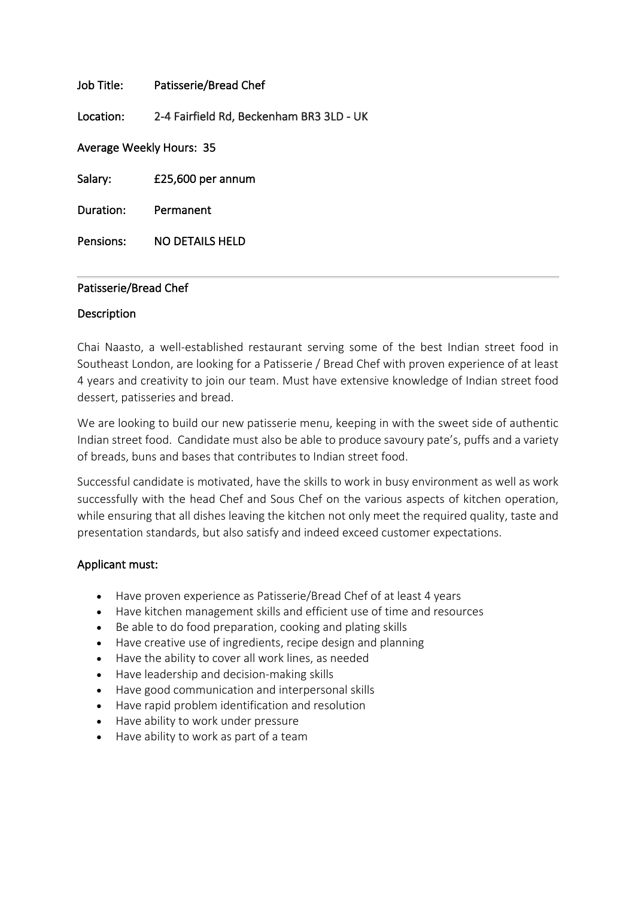# Job Title: Patisserie/Bread Chef

Location: 2-4 Fairfield Rd, Beckenham BR3 3LD - UK

Average Weekly Hours: 35

Salary: £25,600 per annum

Duration: Permanent

Pensions: NO DETAILS HELD

## Patisserie/Bread Chef

### Description

Chai Naasto, a well-established restaurant serving some of the best Indian street food in Southeast London, are looking for a Patisserie / Bread Chef with proven experience of at least 4 years and creativity to join our team. Must have extensive knowledge of Indian street food dessert, patisseries and bread.

We are looking to build our new patisserie menu, keeping in with the sweet side of authentic Indian street food. Candidate must also be able to produce savoury pate's, puffs and a variety of breads, buns and bases that contributes to Indian street food.

Successful candidate is motivated, have the skills to work in busy environment as well as work successfully with the head Chef and Sous Chef on the various aspects of kitchen operation, while ensuring that all dishes leaving the kitchen not only meet the required quality, taste and presentation standards, but also satisfy and indeed exceed customer expectations.

## Applicant must:

- Have proven experience as Patisserie/Bread Chef of at least 4 years
- Have kitchen management skills and efficient use of time and resources
- Be able to do food preparation, cooking and plating skills
- Have creative use of ingredients, recipe design and planning
- Have the ability to cover all work lines, as needed
- Have leadership and decision-making skills
- Have good communication and interpersonal skills
- Have rapid problem identification and resolution
- Have ability to work under pressure
- Have ability to work as part of a team